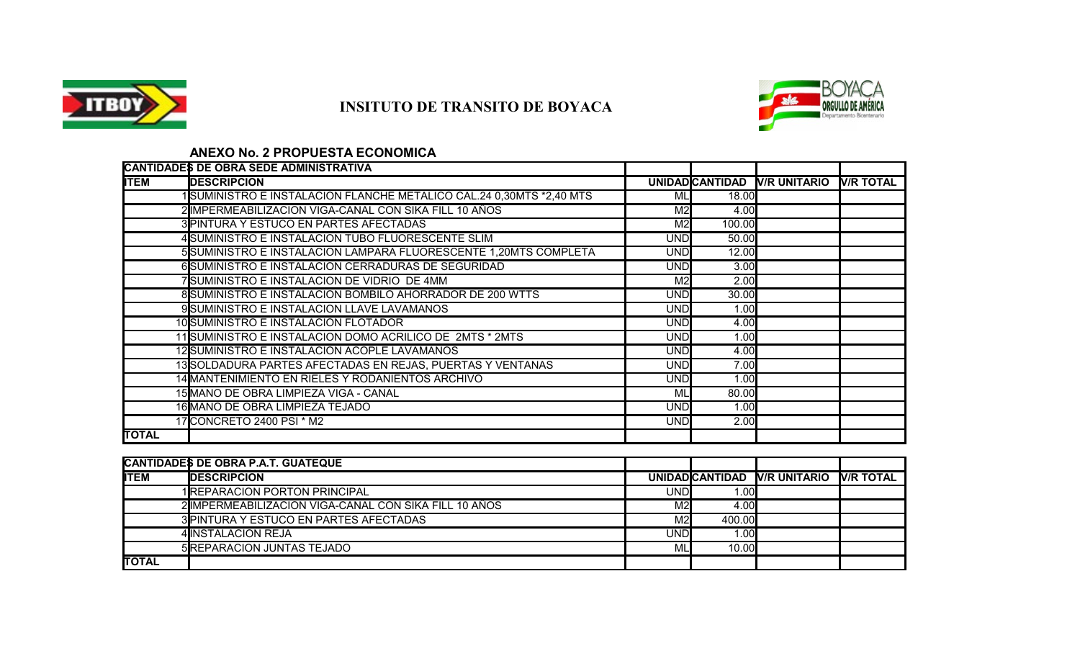

# **INSITUTO DE TRANSITO DE BOYACA**



## **ANEXO No. 2 PROPUESTA ECONOMICA**

|              | CANTIDADES DE OBRA SEDE ADMINISTRATIVA                              |                |        |                              |                  |
|--------------|---------------------------------------------------------------------|----------------|--------|------------------------------|------------------|
| <b>ITEM</b>  | <b>DESCRIPCION</b>                                                  |                |        | UNIDAD CANTIDAD V/R UNITARIO | <b>N/R TOTAL</b> |
|              | 1SUMINISTRO E INSTALACION FLANCHE METALICO CAL.24 0,30MTS *2,40 MTS | Мl             | 18.00  |                              |                  |
|              | 2 IMPERMEABILIZACION VIGA-CANAL CON SIKA FILL 10 AÑOS               | M2             | 4.00   |                              |                  |
|              | 3 PINTURA Y ESTUCO EN PARTES AFECTADAS                              | M <sub>2</sub> | 100.00 |                              |                  |
|              | 4 SUMINISTRO E INSTALACION TUBO FLUORESCENTE SLIM                   | <b>UND</b>     | 50.00  |                              |                  |
|              | 5 SUMINISTRO E INSTALACION LAMPARA FLUORESCENTE 1,20MTS COMPLETA    | <b>UND</b>     | 12.00  |                              |                  |
|              | 6SUMINISTRO E INSTALACION CERRADURAS DE SEGURIDAD                   | <b>UND</b>     | 3.00   |                              |                  |
|              | 7SUMINISTRO E INSTALACION DE VIDRIO DE 4MM                          | M <sub>2</sub> | 2.00   |                              |                  |
|              | 8SUMINISTRO E INSTALACION BOMBILO AHORRADOR DE 200 WTTS             | <b>UND</b>     | 30.00  |                              |                  |
|              | 9 SUMINISTRO E INSTALACION LLAVE LAVAMANOS                          | <b>UND</b>     | 1.00   |                              |                  |
|              | 10 SUMINISTRO E INSTALACION FLOTADOR                                | <b>UND</b>     | 4.00   |                              |                  |
|              | 11 SUMINISTRO E INSTALACION DOMO ACRILICO DE 2MTS * 2MTS            | <b>UND</b>     | 1.00   |                              |                  |
|              | 12 SUMINISTRO E INSTALACION ACOPLE LAVAMANOS                        | <b>UND</b>     | 4.00   |                              |                  |
|              | 13 SOLDADURA PARTES AFECTADAS EN REJAS, PUERTAS Y VENTANAS          | <b>UND</b>     | 7.00   |                              |                  |
|              | 14 MANTENIMIENTO EN RIELES Y RODANIENTOS ARCHIVO                    | <b>UND</b>     | 1.00   |                              |                  |
|              | 15 MANO DE OBRA LIMPIEZA VIGA - CANAL                               | Мl             | 80.00  |                              |                  |
|              | 16 MANO DE OBRA LIMPIEZA TEJADO                                     | <b>UND</b>     | 1.00   |                              |                  |
|              | 17 CONCRETO 2400 PSI * M2                                           | <b>UND</b>     | 2.00   |                              |                  |
| <b>TOTAL</b> |                                                                     |                |        |                              |                  |

|              | CANTIDADES DE OBRA P.A.T. GUATEQUE                     |     |                  |                              |                  |
|--------------|--------------------------------------------------------|-----|------------------|------------------------------|------------------|
| <b>IITEM</b> | <b>IDESCRIPCION</b>                                    |     |                  | UNIDAD CANTIDAD V/R UNITARIO | <b>V/R TOTAL</b> |
|              | 1REPARACION PORTON PRINCIPAL                           | UND | .001             |                              |                  |
|              | 2 IIMPERMEABILIZACION VIGA-CANAL CON SIKA FILL 10 AÑOS | M2  | 4.00             |                              |                  |
|              | 3 PINTURA Y ESTUCO EN PARTES AFECTADAS                 | M2  | 400.00           |                              |                  |
|              | 4 IINSTALACION REJA                                    | UND | .00 <sub>l</sub> |                              |                  |
|              | <b>5 REPARACION JUNTAS TEJADO</b>                      | Ml  | 10.00            |                              |                  |
| <b>TOTAL</b> |                                                        |     |                  |                              |                  |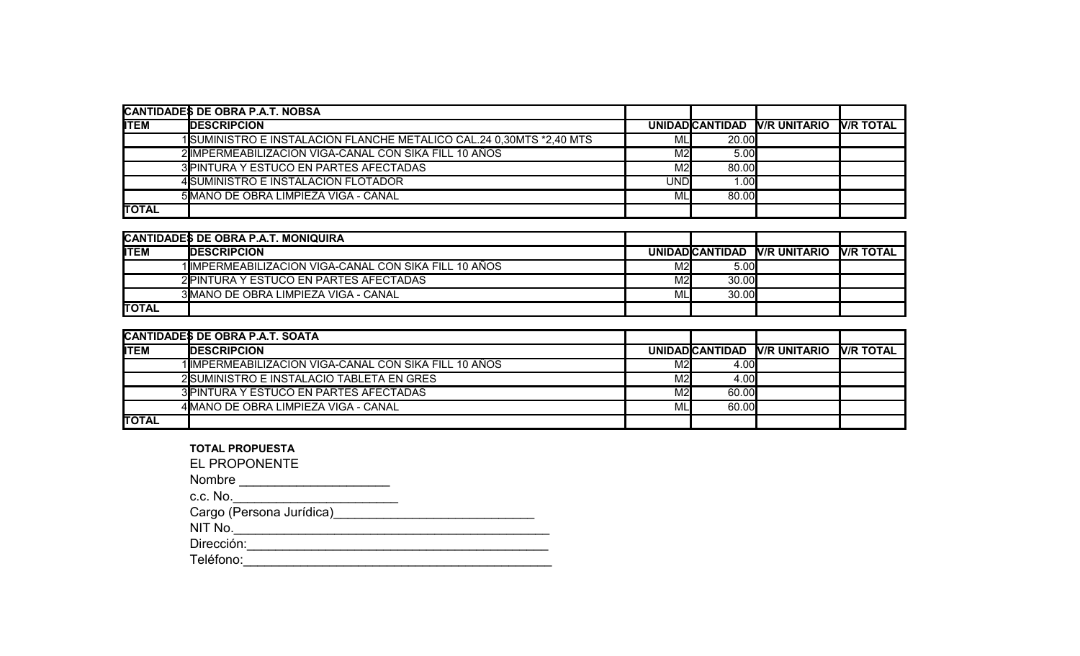|              | CANTIDADES DE OBRA P.A.T. NOBSA                                     |            |                  |                              |                   |
|--------------|---------------------------------------------------------------------|------------|------------------|------------------------------|-------------------|
| <b>IITEM</b> | <b>IDESCRIPCION</b>                                                 |            |                  | UNIDAD CANTIDAD V/R UNITARIO | <b>IV/R TOTAL</b> |
|              | 1SUMINISTRO E INSTALACION FLANCHE METALICO CAL.24 0,30MTS *2,40 MTS | ML         | <b>20.00</b>     |                              |                   |
|              | 2 IMPERMEABILIZACION VIGA-CANAL CON SIKA FILL 10 AÑOS               | M2         | 5.00             |                              |                   |
|              | 3 PINTURA Y ESTUCO EN PARTES AFECTADAS                              | M2         | 80.00            |                              |                   |
|              | 4 SUMINISTRO E INSTALACION FLOTADOR                                 | <b>UND</b> | .00 <sub>l</sub> |                              |                   |
|              | 5 MANO DE OBRA LIMPIEZA VIGA - CANAL                                | ML         | 80.00            |                              |                   |
| <b>TOTAL</b> |                                                                     |            |                  |                              |                   |

|               | CANTIDADES DE OBRA P.A.T. MONIQUIRA                    |     |       |                              |                  |
|---------------|--------------------------------------------------------|-----|-------|------------------------------|------------------|
| <b>IITEM</b>  | <b>IDESCRIPCION</b>                                    |     |       | UNIDAD CANTIDAD V/R UNITARIO | <b>V/R TOTAL</b> |
|               | 1 IIMPERMEABILIZACION VIGA-CANAL CON SIKA FILL 10 AÑOS | M2l | 5.00  |                              |                  |
|               | 2 PINTURA Y ESTUCO EN PARTES AFECTADAS                 | M2l | 30.00 |                              |                  |
|               | 3MANO DE OBRA LIMPIEZA VIGA - CANAL                    | ML  | 30.00 |                              |                  |
| <b>ITOTAL</b> |                                                        |     |       |                              |                  |

| CANTIDADES DE OBRA P.A.T. SOATA |                                                       |     |               |                              |                  |
|---------------------------------|-------------------------------------------------------|-----|---------------|------------------------------|------------------|
| IITEM                           | <b>IDESCRIPCION</b>                                   |     |               | UNIDAD CANTIDAD V/R UNITARIO | <b>V/R TOTAL</b> |
|                                 | 1IIMPERMEABILIZACION VIGA-CANAL CON SIKA FILL 10 AÑOS | M2l | 4.00 <b>I</b> |                              |                  |
|                                 | 2 SUMINISTRO E INSTALACIO TABLETA EN GRES             | M2l | 4.00I         |                              |                  |
|                                 | 3 PINTURA Y ESTUCO EN PARTES AFECTADAS                | M2l | 60.00         |                              |                  |
|                                 | 4 MANO DE OBRA LIMPIEZA VIGA - CANAL                  | ML  | 60.00         |                              |                  |
| <b>TOTAL</b>                    |                                                       |     |               |                              |                  |

| <b>TOTAL PROPUESTA</b> |  |
|------------------------|--|
|------------------------|--|

EL PROPONENTE

Nombre \_\_\_\_\_\_\_\_\_\_\_\_\_\_\_\_\_\_\_\_\_

c.c. No.\_\_\_\_\_\_\_\_\_\_\_\_\_\_\_\_\_\_\_\_\_\_\_

Cargo (Persona Jurídica)\_\_\_\_\_\_\_\_\_\_\_\_\_\_\_\_\_\_\_\_\_\_\_\_\_\_\_\_

NIT No.\_\_\_\_\_\_\_\_\_\_\_\_\_\_\_\_\_\_\_\_\_\_\_\_\_\_\_\_\_\_\_\_\_\_\_\_\_\_\_\_\_\_\_\_

Dirección:\_\_\_\_\_\_\_\_\_\_\_\_\_\_\_\_\_\_\_\_\_\_\_\_\_\_\_\_\_\_\_\_\_\_\_\_\_\_\_\_\_\_

Teléfono:\_\_\_\_\_\_\_\_\_\_\_\_\_\_\_\_\_\_\_\_\_\_\_\_\_\_\_\_\_\_\_\_\_\_\_\_\_\_\_\_\_\_\_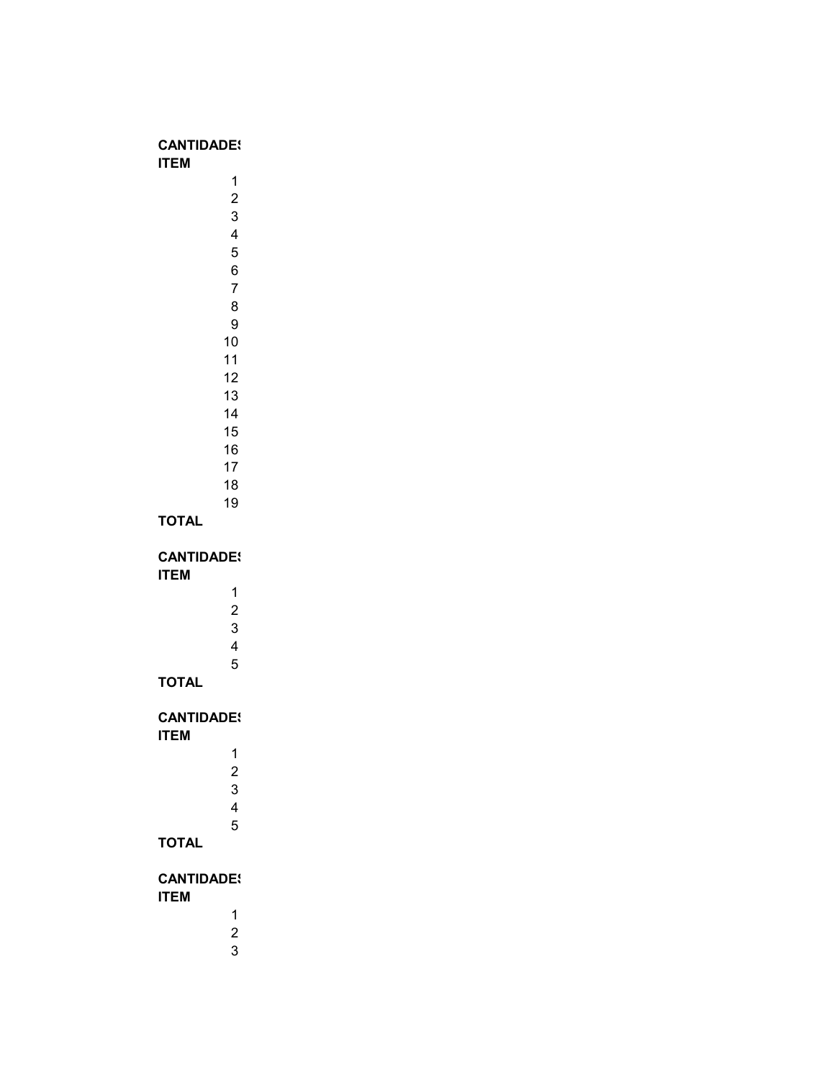#### **CANTIDADES ITEM**

| 1  |
|----|
| 2  |
| 3  |
| 4  |
| 5  |
| 6  |
| 7  |
| 8  |
| 9  |
| 10 |
| 11 |
| 12 |
| 13 |
| 14 |
| 15 |
| 16 |
| 17 |
| 18 |
| 19 |

#### **TOTAL**

**CANTIDADES** 

| 1              |
|----------------|
| $\overline{2}$ |
| 3              |
| 4              |
| 5              |

#### **TOTAL**

**ITEM**

**CANTIDADES** 

| 1 |  |
|---|--|
| 2 |  |
| 3 |  |
| 4 |  |
| 5 |  |

## **TOTAL**

## **CANTIDADES**

- **ITEM**
	- -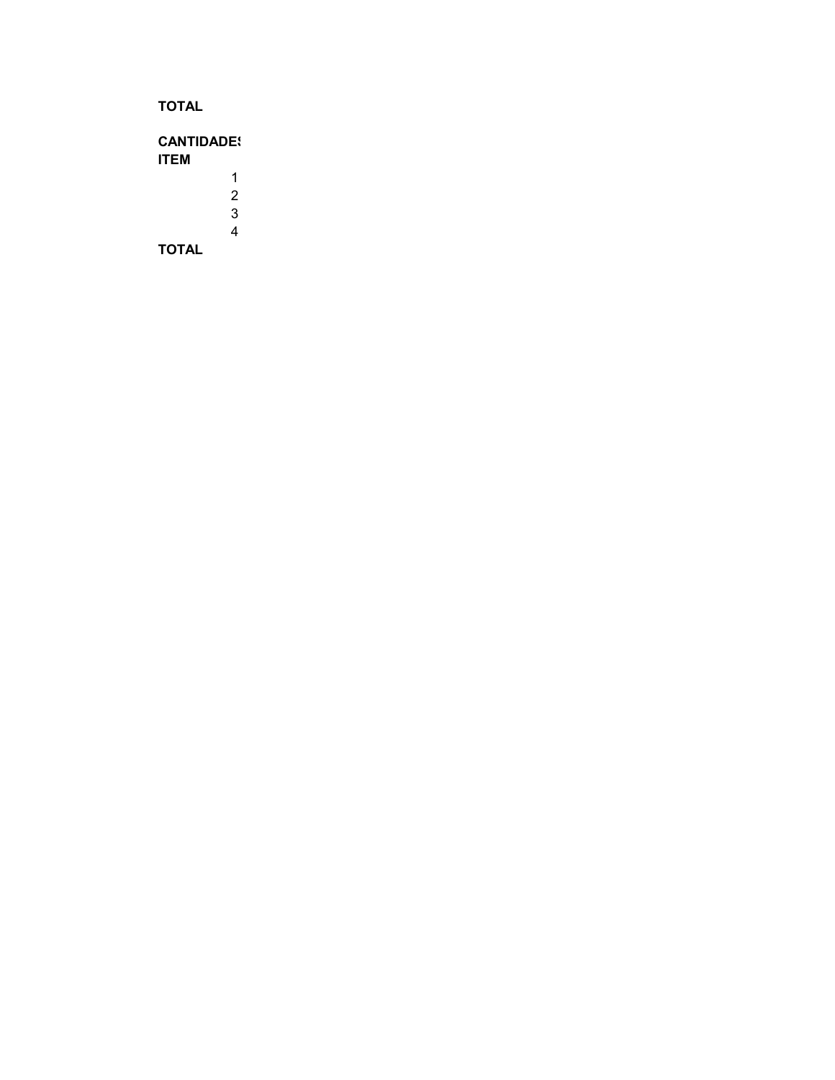**TOTAL**

**CANTIDADES ITEM** 1 2 3 4 **TOTAL**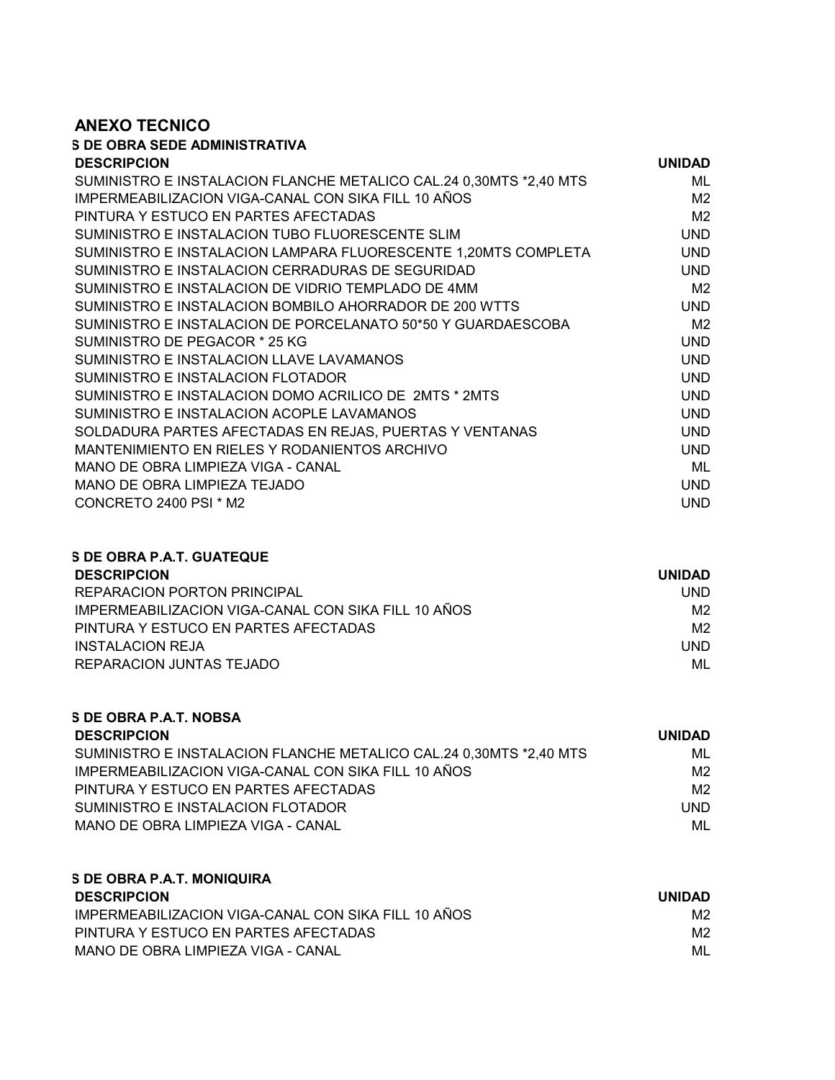#### **ANEXO TECNICO**

## **S DE OBRA SEDE ADMINISTRATIVA**

| <b>DESCRIPCION</b>                                                 | <b>UNIDAD</b>  |
|--------------------------------------------------------------------|----------------|
| SUMINISTRO E INSTALACION FLANCHE METALICO CAL.24 0,30MTS *2,40 MTS | ML             |
| IMPERMEABILIZACION VIGA-CANAL CON SIKA FILL 10 AÑOS                | M <sub>2</sub> |
| PINTURA Y ESTUCO EN PARTES AFECTADAS                               | M <sub>2</sub> |
| SUMINISTRO E INSTALACION TUBO FLUORESCENTE SLIM                    | <b>UND</b>     |
| SUMINISTRO E INSTALACION LAMPARA FLUORESCENTE 1,20MTS COMPLETA     | <b>UND</b>     |
| SUMINISTRO E INSTALACION CERRADURAS DE SEGURIDAD                   | <b>UND</b>     |
| SUMINISTRO E INSTALACION DE VIDRIO TEMPLADO DE 4MM                 | M <sub>2</sub> |
| SUMINISTRO E INSTALACION BOMBILO AHORRADOR DE 200 WTTS             | <b>UND</b>     |
| SUMINISTRO E INSTALACION DE PORCELANATO 50*50 Y GUARDAESCOBA       | M <sub>2</sub> |
| SUMINISTRO DE PEGACOR * 25 KG                                      | <b>UND</b>     |
| SUMINISTRO E INSTALACION LLAVE LAVAMANOS                           | <b>UND</b>     |
| SUMINISTRO E INSTALACION FLOTADOR                                  | <b>UND</b>     |
| SUMINISTRO E INSTALACION DOMO ACRILICO DE 2MTS * 2MTS              | <b>UND</b>     |
| SUMINISTRO E INSTALACION ACOPLE LAVAMANOS                          | <b>UND</b>     |
| SOLDADURA PARTES AFECTADAS EN REJAS, PUERTAS Y VENTANAS            | <b>UND</b>     |
| MANTENIMIENTO EN RIELES Y RODANIENTOS ARCHIVO                      | <b>UND</b>     |
| MANO DE OBRA LIMPIEZA VIGA - CANAL                                 | ML             |
| MANO DE OBRA LIMPIEZA TEJADO                                       | <b>UND</b>     |
| CONCRETO 2400 PSI * M2                                             | UND            |

## **S DE OBRA P.A.T. GUATEQUE DESCRIPCION UNIDAD** REPARACION PORTON PRINCIPAL **And the CONTROL CONTROL** IMPERMEABILIZACION VIGA-CANAL CON SIKA FILL 10 AÑOS M2 PINTURA Y ESTUCO EN PARTES AFECTADAS DE ENSIGNATION DE ENSIGNATION DE ENSIGNATION DE ENSIGNATION DE ENSIGNATIO INSTALACION REJA UND REPARACION JUNTAS TEJADO **MUNICIPAL EN ENGLANDA DE LA CONSTITU**NCIA DE LA CONSTITUIU DE LA CONSTITUIU DE LA CONSTI

## **S DE OBRA P.A.T. NOBSA DESCRIPCION UNIDAD** SUMINISTRO E INSTALACION FLANCHE METALICO CAL.24 0,30MTS \*2,40 MTS MIL IMPERMEABILIZACION VIGA-CANAL CON SIKA FILL 10 AÑOS M2 PINTURA Y ESTUCO EN PARTES AFECTADAS DE ENSIGNATION DE ENSIGNATION DE ENSIGNATION DE ENSIGNATION DE ENSIGNATIO SUMINISTRO E INSTALACION FLOTADOR UND MANO DE OBRA LIMPIEZA VIGA - CANAL METRO DE OS EN ALGORIA DE OS ENTRE O METRO DE OS ENFERAS DE OS ENFERAS DE O

#### **S DE OBRA P.A.T. MONIQUIRA DESCRIPCION UNIDAD** IMPERMEABILIZACION VIGA-CANAL CON SIKA FILL 10 AÑOS M2 PINTURA Y ESTUCO EN PARTES AFECTADAS MEDICAL EN ENTRE EN EL ENTRE EN EL ENTRE EN EL ENTRE EN EL ENTRE EN EL EN MANO DE OBRA LIMPIEZA VIGA - CANAL MESTO DE OBRA LIMPIEZA VIGA - CANAL MESTO DE OBRESO DE OBRESO DE OBRESO DE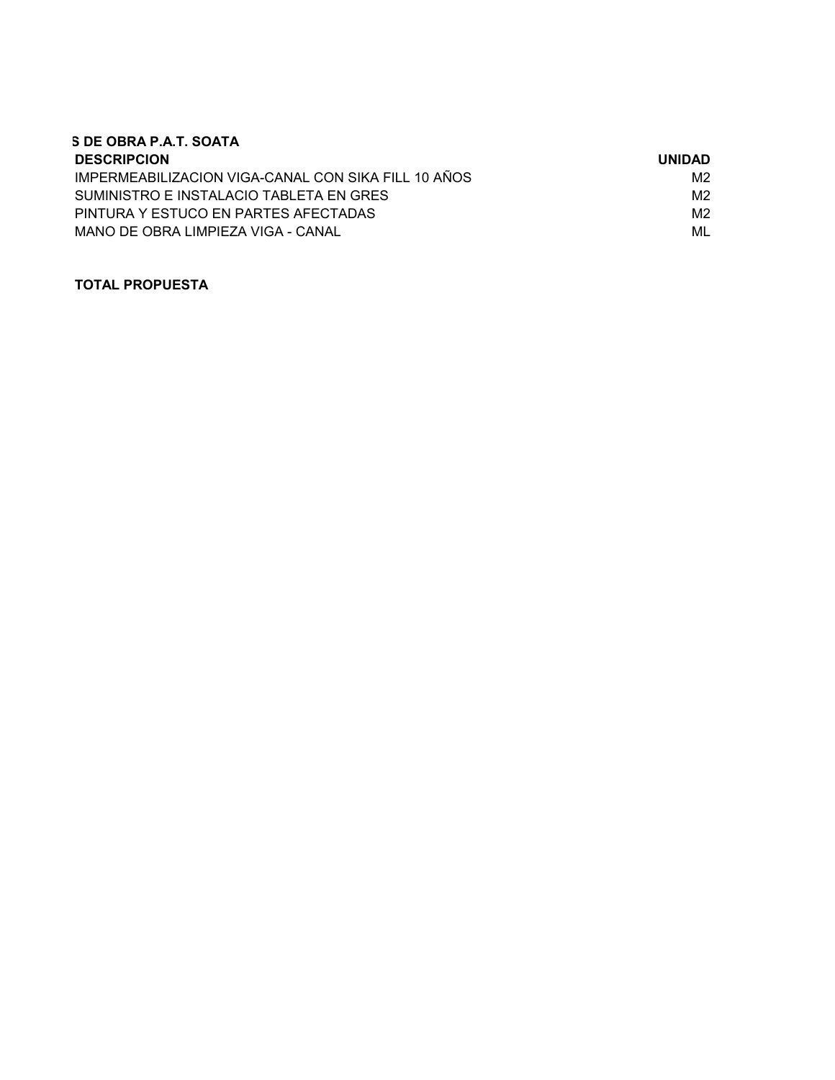| S DE OBRA P.A.T. SOATA                              |               |
|-----------------------------------------------------|---------------|
| <b>DESCRIPCION</b>                                  | <b>UNIDAD</b> |
| IMPERMEABILIZACION VIGA-CANAL CON SIKA FILL 10 AÑOS | M2            |
| SUMINISTRO E INSTALACIO TABLETA EN GRES             | M2            |
| PINTURA Y ESTUCO EN PARTES AFECTADAS                | M2            |
| MANO DE OBRA LIMPIEZA VIGA - CANAL                  | ML            |

### **TOTAL PROPUESTA**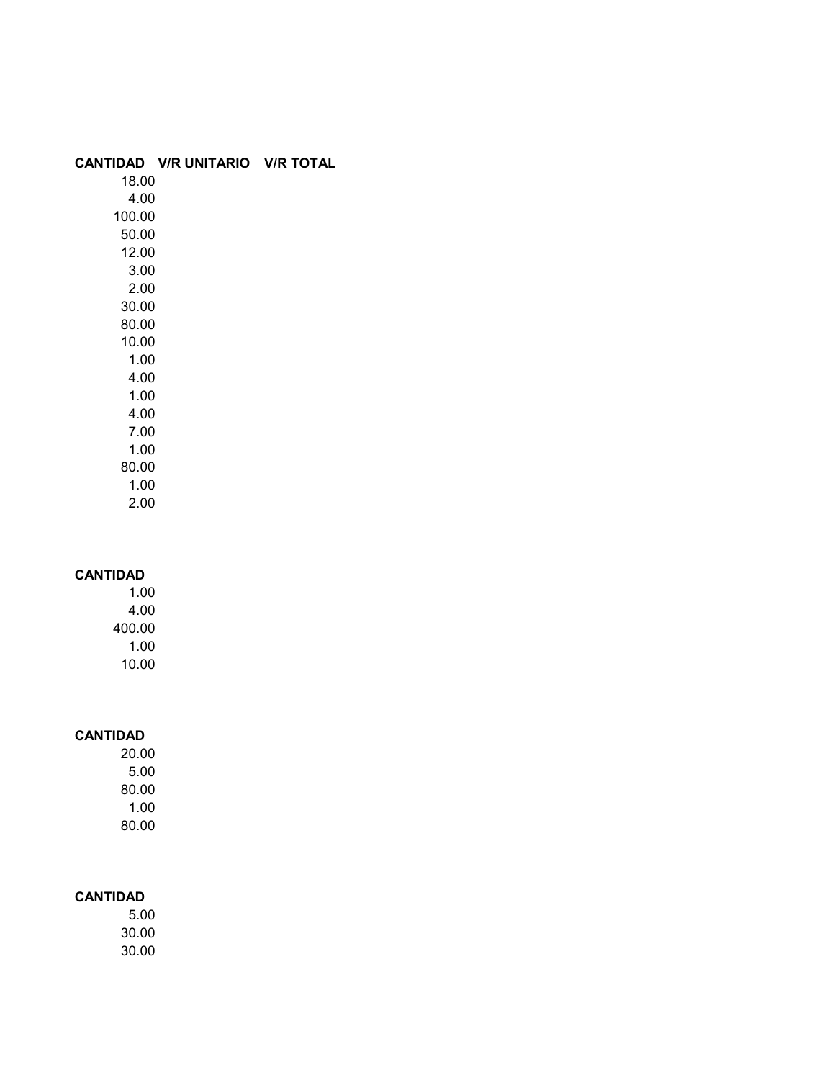#### **CANTIDAD V/R UNITARIO V/R TOTAL**

18.00 4.00 100.00 50.00 12.00 3.00 2.00 30.00 80.00 10.00 1.00 4.00 1.00 4.00 7.00 1.00 80.00 1.00

2.00

#### **CANTIDAD**

1.00 4.00 400.00 1.00 10.00

### **CANTIDAD**

20.00 5.00 80.00 1.00 80.00

### **CANTIDAD**

5.00 30.00 30.00